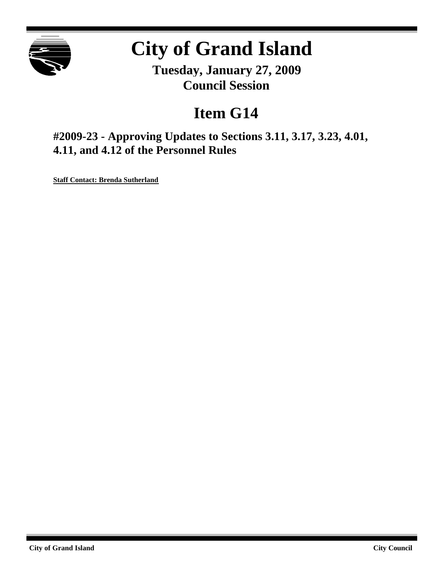

# **City of Grand Island**

**Tuesday, January 27, 2009 Council Session**

## **Item G14**

**#2009-23 - Approving Updates to Sections 3.11, 3.17, 3.23, 4.01, 4.11, and 4.12 of the Personnel Rules**

**Staff Contact: Brenda Sutherland**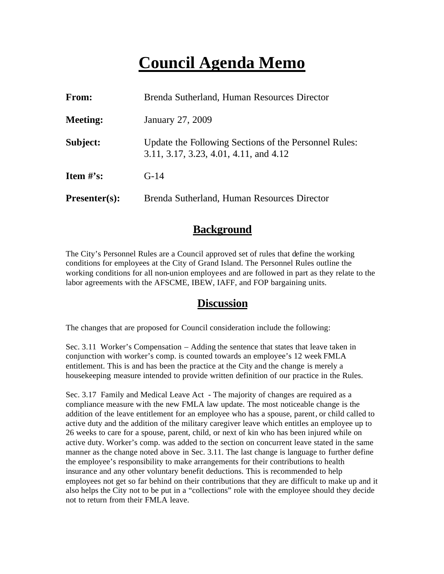## **Council Agenda Memo**

| From:                          | Brenda Sutherland, Human Resources Director                                                     |
|--------------------------------|-------------------------------------------------------------------------------------------------|
| <b>Meeting:</b>                | January 27, 2009                                                                                |
| Subject:                       | Update the Following Sections of the Personnel Rules:<br>3.11, 3.17, 3.23, 4.01, 4.11, and 4.12 |
| <b>Item <math>\#</math>'s:</b> | $G-14$                                                                                          |
| $Presenter(s):$                | Brenda Sutherland, Human Resources Director                                                     |

## **Background**

The City's Personnel Rules are a Council approved set of rules that define the working conditions for employees at the City of Grand Island. The Personnel Rules outline the working conditions for all non-union employees and are followed in part as they relate to the labor agreements with the AFSCME, IBEW, IAFF, and FOP bargaining units.

## **Discussion**

The changes that are proposed for Council consideration include the following:

Sec. 3.11 Worker's Compensation – Adding the sentence that states that leave taken in conjunction with worker's comp. is counted towards an employee's 12 week FMLA entitlement. This is and has been the practice at the City and the change is merely a housekeeping measure intended to provide written definition of our practice in the Rules.

Sec. 3.17 Family and Medical Leave Act - The majority of changes are required as a compliance measure with the new FMLA law update. The most noticeable change is the addition of the leave entitlement for an employee who has a spouse, parent, or child called to active duty and the addition of the military caregiver leave which entitles an employee up to 26 weeks to care for a spouse, parent, child, or next of kin who has been injured while on active duty. Worker's comp. was added to the section on concurrent leave stated in the same manner as the change noted above in Sec. 3.11. The last change is language to further define the employee's responsibility to make arrangements for their contributions to health insurance and any other voluntary benefit deductions. This is recommended to help employees not get so far behind on their contributions that they are difficult to make up and it also helps the City not to be put in a "collections" role with the employee should they decide not to return from their FMLA leave.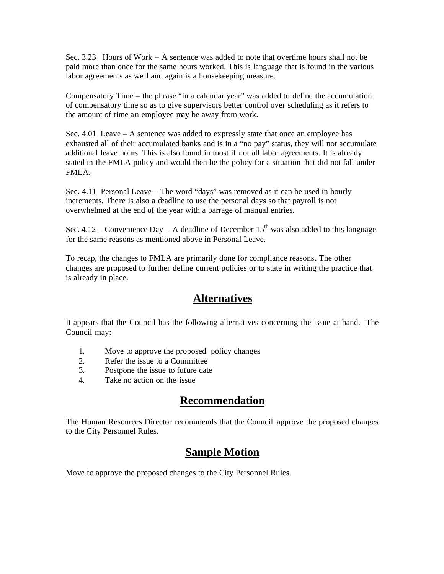Sec. 3.23 Hours of Work – A sentence was added to note that overtime hours shall not be paid more than once for the same hours worked. This is language that is found in the various labor agreements as well and again is a housekeeping measure.

Compensatory Time – the phrase "in a calendar year" was added to define the accumulation of compensatory time so as to give supervisors better control over scheduling as it refers to the amount of time an employee may be away from work.

Sec. 4.01 Leave – A sentence was added to expressly state that once an employee has exhausted all of their accumulated banks and is in a "no pay" status, they will not accumulate additional leave hours. This is also found in most if not all labor agreements. It is already stated in the FMLA policy and would then be the policy for a situation that did not fall under FMLA.

Sec. 4.11 Personal Leave – The word "days" was removed as it can be used in hourly increments. There is also a deadline to use the personal days so that payroll is not overwhelmed at the end of the year with a barrage of manual entries.

Sec. 4.12 – Convenience Day – A deadline of December  $15<sup>th</sup>$  was also added to this language for the same reasons as mentioned above in Personal Leave.

To recap, the changes to FMLA are primarily done for compliance reasons. The other changes are proposed to further define current policies or to state in writing the practice that is already in place.

## **Alternatives**

It appears that the Council has the following alternatives concerning the issue at hand. The Council may:

- 1. Move to approve the proposed policy changes
- 2. Refer the issue to a Committee
- 3. Postpone the issue to future date
- 4. Take no action on the issue

## **Recommendation**

The Human Resources Director recommends that the Council approve the proposed changes to the City Personnel Rules.

## **Sample Motion**

Move to approve the proposed changes to the City Personnel Rules.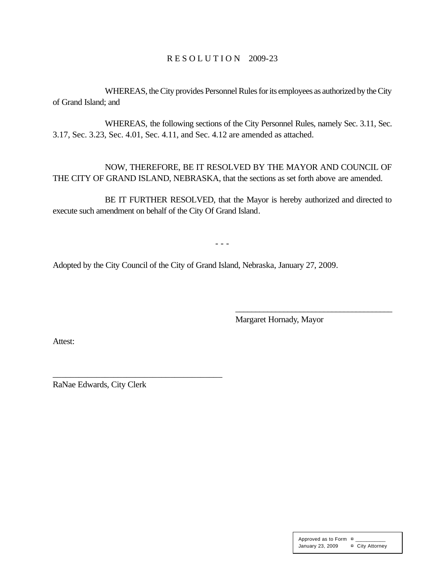#### R E S O L U T I O N 2009-23

WHEREAS, the City provides Personnel Rules for its employees as authorized by the City of Grand Island; and

WHEREAS, the following sections of the City Personnel Rules, namely Sec. 3.11, Sec. 3.17, Sec. 3.23, Sec. 4.01, Sec. 4.11, and Sec. 4.12 are amended as attached.

NOW, THEREFORE, BE IT RESOLVED BY THE MAYOR AND COUNCIL OF THE CITY OF GRAND ISLAND, NEBRASKA, that the sections as set forth above are amended.

BE IT FURTHER RESOLVED, that the Mayor is hereby authorized and directed to execute such amendment on behalf of the City Of Grand Island.

- - -

Adopted by the City Council of the City of Grand Island, Nebraska, January 27, 2009.

Margaret Hornady, Mayor

\_\_\_\_\_\_\_\_\_\_\_\_\_\_\_\_\_\_\_\_\_\_\_\_\_\_\_\_\_\_\_\_\_\_\_\_\_\_\_

Attest:

RaNae Edwards, City Clerk

\_\_\_\_\_\_\_\_\_\_\_\_\_\_\_\_\_\_\_\_\_\_\_\_\_\_\_\_\_\_\_\_\_\_\_\_\_\_\_

Approved as to Form  $\pi$ January 23, 2009 ¤ City Attorney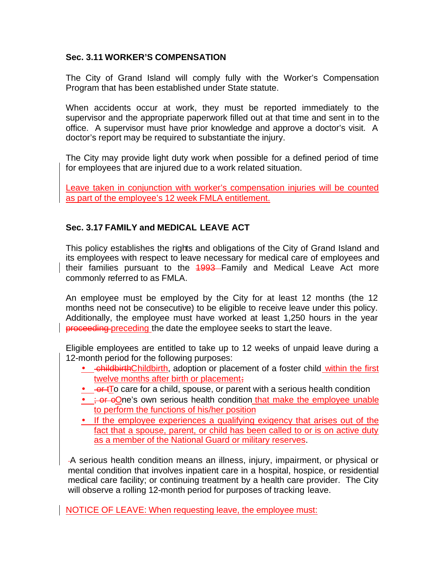#### **Sec. 3.11 WORKER'S COMPENSATION**

The City of Grand Island will comply fully with the Worker's Compensation Program that has been established under State statute.

When accidents occur at work, they must be reported immediately to the supervisor and the appropriate paperwork filled out at that time and sent in to the office. A supervisor must have prior knowledge and approve a doctor's visit. A doctor's report may be required to substantiate the injury.

The City may provide light duty work when possible for a defined period of time for employees that are injured due to a work related situation.

Leave taken in conjunction with worker's compensation injuries will be counted as part of the employee's 12 week FMLA entitlement.

### **Sec. 3.17 FAMILY and MEDICAL LEAVE ACT**

This policy establishes the rights and obligations of the City of Grand Island and its employees with respect to leave necessary for medical care of employees and their families pursuant to the 1993–Family and Medical Leave Act more commonly referred to as FMLA.

An employee must be employed by the City for at least 12 months (the 12 months need not be consecutive) to be eligible to receive leave under this policy. Additionally, the employee must have worked at least 1,250 hours in the year proceeding preceding the date the employee seeks to start the leave.

Eligible employees are entitled to take up to 12 weeks of unpaid leave during a 12-month period for the following purposes:

- childbirthChildbirth, adoption or placement of a foster child within the first twelve months after birth or placement;
- $\bullet$   $\rightarrow$   $\rightarrow$   $\rightarrow$  To care for a child, spouse, or parent with a serious health condition
- $\div$  or oOne's own serious health condition that make the employee unable to perform the functions of his/her position
- If the employee experiences a qualifying exigency that arises out of the fact that a spouse, parent, or child has been called to or is on active duty as a member of the National Guard or military reserves.

A serious health condition means an illness, injury, impairment, or physical or mental condition that involves inpatient care in a hospital, hospice, or residential medical care facility; or continuing treatment by a health care provider. The City will observe a rolling 12-month period for purposes of tracking leave.

NOTICE OF LEAVE: When requesting leave, the employee must: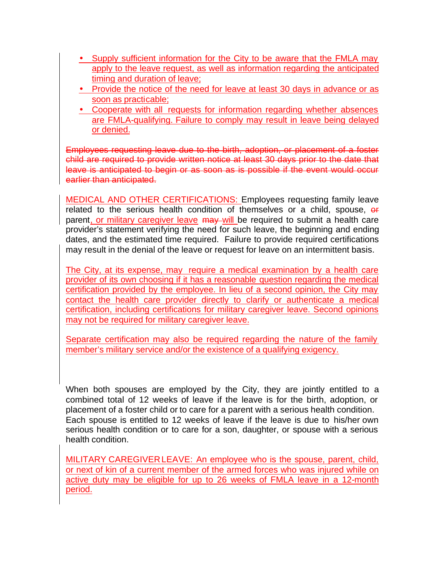- Supply sufficient information for the City to be aware that the FMLA may apply to the leave request, as well as information regarding the anticipated timing and duration of leave;
- Provide the notice of the need for leave at least 30 days in advance or as soon as practicable;
- Cooperate with all requests for information regarding whether absences are FMLA-qualifying. Failure to comply may result in leave being delayed or denied.

Employees requesting leave due to the birth, adoption, or placement of a foster child are required to provide written notice at least 30 days prior to the date that leave is anticipated to begin or as soon as is possible if the event would occur earlier than anticipated.

MEDICAL AND OTHER CERTIFICATIONS: Employees requesting family leave related to the serious health condition of themselves or a child, spouse, or parent, or military caregiver leave may will be required to submit a health care provider's statement verifying the need for such leave, the beginning and ending dates, and the estimated time required. Failure to provide required certifications may result in the denial of the leave or request for leave on an intermittent basis.

The City, at its expense, may require a medical examination by a health care provider of its own choosing if it has a reasonable question regarding the medical certification provided by the employee. In lieu of a second opinion, the City may contact the health care provider directly to clarify or authenticate a medical certification, including certifications for military caregiver leave. Second opinions may not be required for military caregiver leave.

Separate certification may also be required regarding the nature of the family member's military service and/or the existence of a qualifying exigency.

When both spouses are employed by the City, they are jointly entitled to a combined total of 12 weeks of leave if the leave is for the birth, adoption, or placement of a foster child or to care for a parent with a serious health condition. Each spouse is entitled to 12 weeks of leave if the leave is due to his/her own serious health condition or to care for a son, daughter, or spouse with a serious health condition.

MILITARY CAREGIVER LEAVE: An employee who is the spouse, parent, child, or next of kin of a current member of the armed forces who was injured while on active duty may be eligible for up to 26 weeks of FMLA leave in a 12-month period.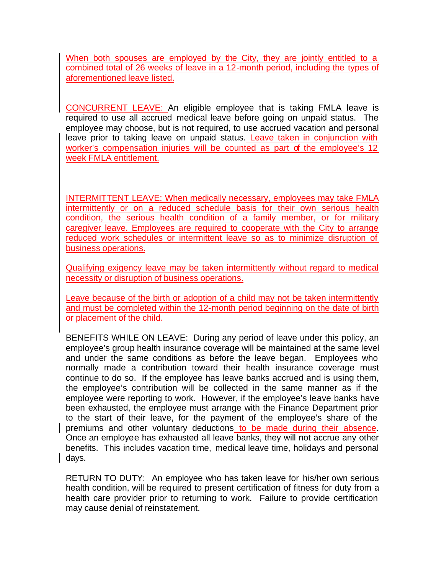When both spouses are employed by the City, they are jointly entitled to a combined total of 26 weeks of leave in a 12-month period, including the types of aforementioned leave listed.

CONCURRENT LEAVE: An eligible employee that is taking FMLA leave is required to use all accrued medical leave before going on unpaid status. The employee may choose, but is not required, to use accrued vacation and personal leave prior to taking leave on unpaid status. Leave taken in conjunction with worker's compensation injuries will be counted as part of the employee's 12 week FMLA entitlement.

INTERMITTENT LEAVE: When medically necessary, employees may take FMLA intermittently or on a reduced schedule basis for their own serious health condition, the serious health condition of a family member, or for military caregiver leave. Employees are required to cooperate with the City to arrange reduced work schedules or intermittent leave so as to minimize disruption of business operations.

Qualifying exigency leave may be taken intermittently without regard to medical necessity or disruption of business operations.

Leave because of the birth or adoption of a child may not be taken intermittently and must be completed within the 12-month period beginning on the date of birth or placement of the child.

BENEFITS WHILE ON LEAVE: During any period of leave under this policy, an employee's group health insurance coverage will be maintained at the same level and under the same conditions as before the leave began. Employees who normally made a contribution toward their health insurance coverage must continue to do so. If the employee has leave banks accrued and is using them, the employee's contribution will be collected in the same manner as if the employee were reporting to work. However, if the employee's leave banks have been exhausted, the employee must arrange with the Finance Department prior to the start of their leave, for the payment of the employee's share of the premiums and other voluntary deductions to be made during their absence. Once an employee has exhausted all leave banks, they will not accrue any other benefits. This includes vacation time, medical leave time, holidays and personal days.

RETURN TO DUTY: An employee who has taken leave for his/her own serious health condition, will be required to present certification of fitness for duty from a health care provider prior to returning to work. Failure to provide certification may cause denial of reinstatement.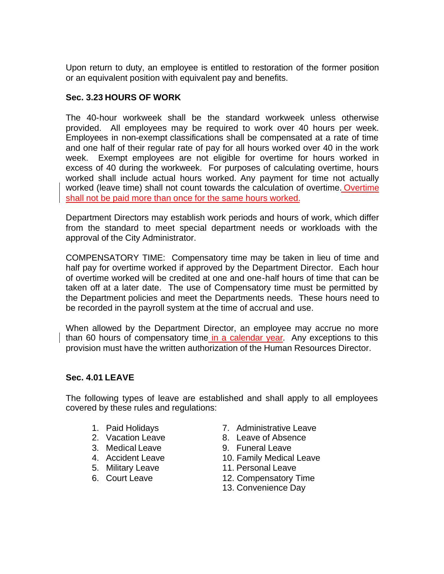Upon return to duty, an employee is entitled to restoration of the former position or an equivalent position with equivalent pay and benefits.

#### **Sec. 3.23 HOURS OF WORK**

The 40-hour workweek shall be the standard workweek unless otherwise provided. All employees may be required to work over 40 hours per week. Employees in non-exempt classifications shall be compensated at a rate of time and one half of their regular rate of pay for all hours worked over 40 in the work week. Exempt employees are not eligible for overtime for hours worked in excess of 40 during the workweek. For purposes of calculating overtime, hours worked shall include actual hours worked. Any payment for time not actually worked (leave time) shall not count towards the calculation of overtime. Overtime shall not be paid more than once for the same hours worked.

Department Directors may establish work periods and hours of work, which differ from the standard to meet special department needs or workloads with the approval of the City Administrator.

COMPENSATORY TIME: Compensatory time may be taken in lieu of time and half pay for overtime worked if approved by the Department Director. Each hour of overtime worked will be credited at one and one-half hours of time that can be taken off at a later date. The use of Compensatory time must be permitted by the Department policies and meet the Departments needs. These hours need to be recorded in the payroll system at the time of accrual and use.

When allowed by the Department Director, an employee may accrue no more than 60 hours of compensatory time in a calendar year. Any exceptions to this provision must have the written authorization of the Human Resources Director.

#### **Sec. 4.01 LEAVE**

The following types of leave are established and shall apply to all employees covered by these rules and regulations:

- 
- 
- 
- 
- 
- 
- 1. Paid Holidays 7. Administrative Leave
- 2. Vacation Leave **8. Leave of Absence**
- 3. Medical Leave 9. Funeral Leave
- 4. Accident Leave 10. Family Medical Leave
- 5. Military Leave 11. Personal Leave
- 6. Court Leave 12. Compensatory Time
	- 13. Convenience Day